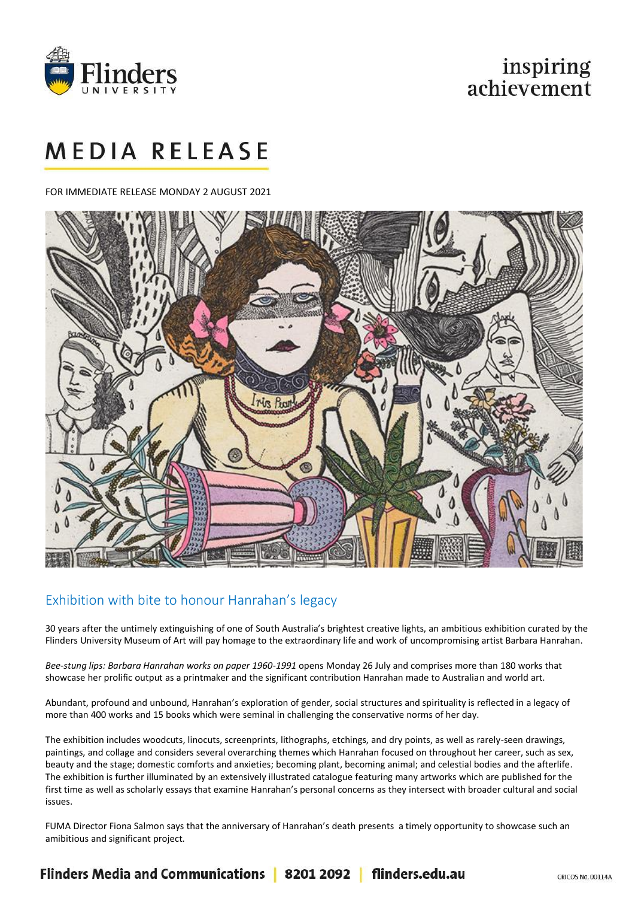

## inspiring achievement

# **MEDIA RELEASE**

FOR IMMEDIATE RELEASE MONDAY 2 AUGUST 2021



### Exhibition with bite to honour Hanrahan's legacy

30 years after the untimely extinguishing of one of South Australia's brightest creative lights, an ambitious exhibition curated by the Flinders University Museum of Art will pay homage to the extraordinary life and work of uncompromising artist Barbara Hanrahan.

*Bee-stung lips: Barbara Hanrahan works on paper 1960-1991* opens Monday 26 July and comprises more than 180 works that showcase her prolific output as a printmaker and the significant contribution Hanrahan made to Australian and world art.

Abundant, profound and unbound, Hanrahan's exploration of gender, social structures and spirituality is reflected in a legacy of more than 400 works and 15 books which were seminal in challenging the conservative norms of her day.

The exhibition includes woodcuts, linocuts, screenprints, lithographs, etchings, and dry points, as well as rarely-seen drawings, paintings, and collage and considers several overarching themes which Hanrahan focused on throughout her career, such as sex, beauty and the stage; domestic comforts and anxieties; becoming plant, becoming animal; and celestial bodies and the afterlife. The exhibition is further illuminated by an extensively illustrated catalogue featuring many artworks which are published for the first time as well as scholarly essays that examine Hanrahan's personal concerns as they intersect with broader cultural and social issues.

FUMA Director Fiona Salmon says that the anniversary of Hanrahan's death presents a timely opportunity to showcase such an amibitious and significant project.

Flinders Media and Communications | 8201 2092 | flinders.edu.au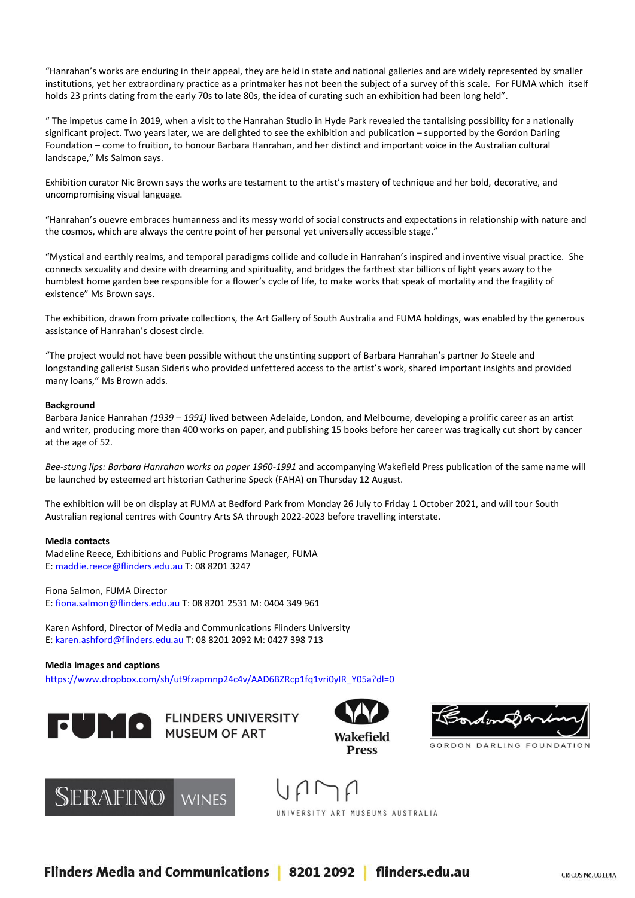"Hanrahan's works are enduring in their appeal, they are held in state and national galleries and are widely represented by smaller institutions, yet her extraordinary practice as a printmaker has not been the subject of a survey of this scale. For FUMA which itself holds 23 prints dating from the early 70s to late 80s, the idea of curating such an exhibition had been long held".

" The impetus came in 2019, when a visit to the Hanrahan Studio in Hyde Park revealed the tantalising possibility for a nationally significant project. Two years later, we are delighted to see the exhibition and publication – supported by the Gordon Darling Foundation – come to fruition, to honour Barbara Hanrahan, and her distinct and important voice in the Australian cultural landscape," Ms Salmon says.

Exhibition curator Nic Brown says the works are testament to the artist's mastery of technique and her bold, decorative, and uncompromising visual language.

"Hanrahan's ouevre embraces humanness and its messy world of social constructs and expectations in relationship with nature and the cosmos, which are always the centre point of her personal yet universally accessible stage."

"Mystical and earthly realms, and temporal paradigms collide and collude in Hanrahan's inspired and inventive visual practice. She connects sexuality and desire with dreaming and spirituality, and bridges the farthest star billions of light years away to the humblest home garden bee responsible for a flower's cycle of life, to make works that speak of mortality and the fragility of existence" Ms Brown says.

The exhibition, drawn from private collections, the Art Gallery of South Australia and FUMA holdings, was enabled by the generous assistance of Hanrahan's closest circle.

"The project would not have been possible without the unstinting support of Barbara Hanrahan's partner Jo Steele and longstanding gallerist Susan Sideris who provided unfettered access to the artist's work, shared important insights and provided many loans," Ms Brown adds.

#### **Background**

Barbara Janice Hanrahan *(1939 – 1991)* lived between Adelaide, London, and Melbourne, developing a prolific career as an artist and writer, producing more than 400 works on paper, and publishing 15 books before her career was tragically cut short by cancer at the age of 52.

*Bee-stung lips: Barbara Hanrahan works on paper 1960-1991* and accompanying Wakefield Press publication of the same name will be launched by esteemed art historian Catherine Speck (FAHA) on Thursday 12 August.

The exhibition will be on display at FUMA at Bedford Park from Monday 26 July to Friday 1 October 2021, and will tour South Australian regional centres with Country Arts SA through 2022-2023 before travelling interstate.

#### **Media contacts**

Madeline Reece, Exhibitions and Public Programs Manager, FUMA E: [maddie.reece@flinders.edu.au](mailto:maddie.reece@flinders.edu.au) T: 08 8201 3247

Fiona Salmon, FUMA Director E: [fiona.salmon@flinders.edu.au](mailto:fiona.salmon@flinders.edu.au) T: 08 8201 2531 M: 0404 349 961

Karen Ashford, Director of Media and Communications Flinders University E: [karen.ashford@flinders.edu.au](mailto:karen.ashford@flinders.edu.au) T: 08 8201 2092 M: 0427 398 713

#### **Media images and captions**

[https://www.dropbox.com/sh/ut9fzapmnp24c4v/AAD6BZRcp1fq1vri0yIR\\_Y05a?dl=0](https://www.dropbox.com/sh/ut9fzapmnp24c4v/AAD6BZRcp1fq1vri0yIR_Y05a?dl=0)







Wakefield

**Press** 



GORDON DARLING FOUNDATION